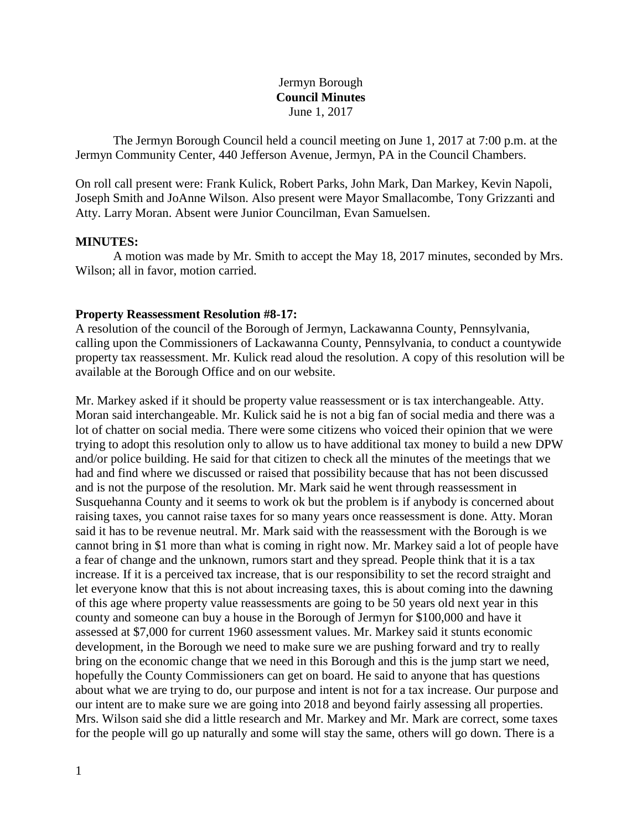### Jermyn Borough **Council Minutes** June 1, 2017

The Jermyn Borough Council held a council meeting on June 1, 2017 at 7:00 p.m. at the Jermyn Community Center, 440 Jefferson Avenue, Jermyn, PA in the Council Chambers.

On roll call present were: Frank Kulick, Robert Parks, John Mark, Dan Markey, Kevin Napoli, Joseph Smith and JoAnne Wilson. Also present were Mayor Smallacombe, Tony Grizzanti and Atty. Larry Moran. Absent were Junior Councilman, Evan Samuelsen.

### **MINUTES:**

A motion was made by Mr. Smith to accept the May 18, 2017 minutes, seconded by Mrs. Wilson; all in favor, motion carried.

### **Property Reassessment Resolution #8-17:**

A resolution of the council of the Borough of Jermyn, Lackawanna County, Pennsylvania, calling upon the Commissioners of Lackawanna County, Pennsylvania, to conduct a countywide property tax reassessment. Mr. Kulick read aloud the resolution. A copy of this resolution will be available at the Borough Office and on our website.

Mr. Markey asked if it should be property value reassessment or is tax interchangeable. Atty. Moran said interchangeable. Mr. Kulick said he is not a big fan of social media and there was a lot of chatter on social media. There were some citizens who voiced their opinion that we were trying to adopt this resolution only to allow us to have additional tax money to build a new DPW and/or police building. He said for that citizen to check all the minutes of the meetings that we had and find where we discussed or raised that possibility because that has not been discussed and is not the purpose of the resolution. Mr. Mark said he went through reassessment in Susquehanna County and it seems to work ok but the problem is if anybody is concerned about raising taxes, you cannot raise taxes for so many years once reassessment is done. Atty. Moran said it has to be revenue neutral. Mr. Mark said with the reassessment with the Borough is we cannot bring in \$1 more than what is coming in right now. Mr. Markey said a lot of people have a fear of change and the unknown, rumors start and they spread. People think that it is a tax increase. If it is a perceived tax increase, that is our responsibility to set the record straight and let everyone know that this is not about increasing taxes, this is about coming into the dawning of this age where property value reassessments are going to be 50 years old next year in this county and someone can buy a house in the Borough of Jermyn for \$100,000 and have it assessed at \$7,000 for current 1960 assessment values. Mr. Markey said it stunts economic development, in the Borough we need to make sure we are pushing forward and try to really bring on the economic change that we need in this Borough and this is the jump start we need, hopefully the County Commissioners can get on board. He said to anyone that has questions about what we are trying to do, our purpose and intent is not for a tax increase. Our purpose and our intent are to make sure we are going into 2018 and beyond fairly assessing all properties. Mrs. Wilson said she did a little research and Mr. Markey and Mr. Mark are correct, some taxes for the people will go up naturally and some will stay the same, others will go down. There is a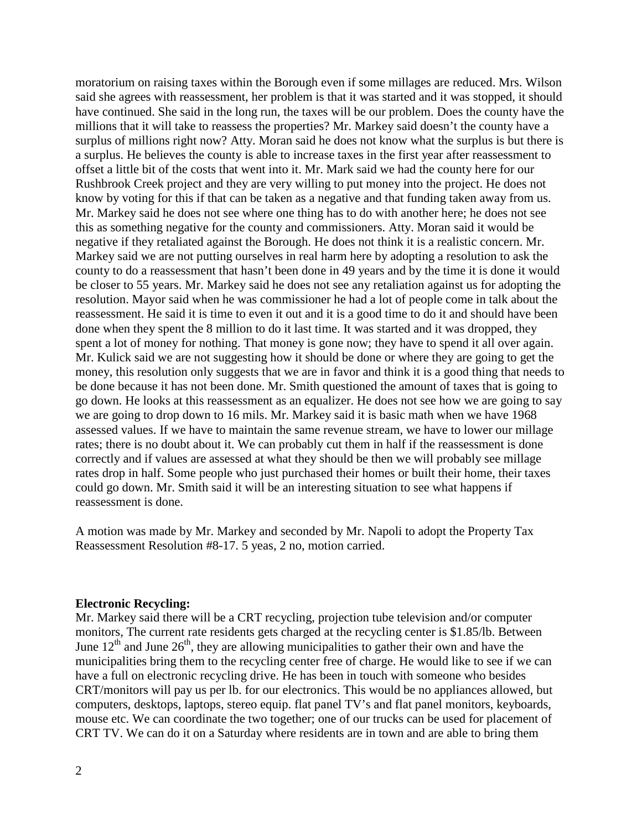moratorium on raising taxes within the Borough even if some millages are reduced. Mrs. Wilson said she agrees with reassessment, her problem is that it was started and it was stopped, it should have continued. She said in the long run, the taxes will be our problem. Does the county have the millions that it will take to reassess the properties? Mr. Markey said doesn't the county have a surplus of millions right now? Atty. Moran said he does not know what the surplus is but there is a surplus. He believes the county is able to increase taxes in the first year after reassessment to offset a little bit of the costs that went into it. Mr. Mark said we had the county here for our Rushbrook Creek project and they are very willing to put money into the project. He does not know by voting for this if that can be taken as a negative and that funding taken away from us. Mr. Markey said he does not see where one thing has to do with another here; he does not see this as something negative for the county and commissioners. Atty. Moran said it would be negative if they retaliated against the Borough. He does not think it is a realistic concern. Mr. Markey said we are not putting ourselves in real harm here by adopting a resolution to ask the county to do a reassessment that hasn't been done in 49 years and by the time it is done it would be closer to 55 years. Mr. Markey said he does not see any retaliation against us for adopting the resolution. Mayor said when he was commissioner he had a lot of people come in talk about the reassessment. He said it is time to even it out and it is a good time to do it and should have been done when they spent the 8 million to do it last time. It was started and it was dropped, they spent a lot of money for nothing. That money is gone now; they have to spend it all over again. Mr. Kulick said we are not suggesting how it should be done or where they are going to get the money, this resolution only suggests that we are in favor and think it is a good thing that needs to be done because it has not been done. Mr. Smith questioned the amount of taxes that is going to go down. He looks at this reassessment as an equalizer. He does not see how we are going to say we are going to drop down to 16 mils. Mr. Markey said it is basic math when we have 1968 assessed values. If we have to maintain the same revenue stream, we have to lower our millage rates; there is no doubt about it. We can probably cut them in half if the reassessment is done correctly and if values are assessed at what they should be then we will probably see millage rates drop in half. Some people who just purchased their homes or built their home, their taxes could go down. Mr. Smith said it will be an interesting situation to see what happens if reassessment is done.

A motion was made by Mr. Markey and seconded by Mr. Napoli to adopt the Property Tax Reassessment Resolution #8-17. 5 yeas, 2 no, motion carried.

#### **Electronic Recycling:**

Mr. Markey said there will be a CRT recycling, projection tube television and/or computer monitors, The current rate residents gets charged at the recycling center is \$1.85/lb. Between June  $12<sup>th</sup>$  and June  $26<sup>th</sup>$ , they are allowing municipalities to gather their own and have the municipalities bring them to the recycling center free of charge. He would like to see if we can have a full on electronic recycling drive. He has been in touch with someone who besides CRT/monitors will pay us per lb. for our electronics. This would be no appliances allowed, but computers, desktops, laptops, stereo equip. flat panel TV's and flat panel monitors, keyboards, mouse etc. We can coordinate the two together; one of our trucks can be used for placement of CRT TV. We can do it on a Saturday where residents are in town and are able to bring them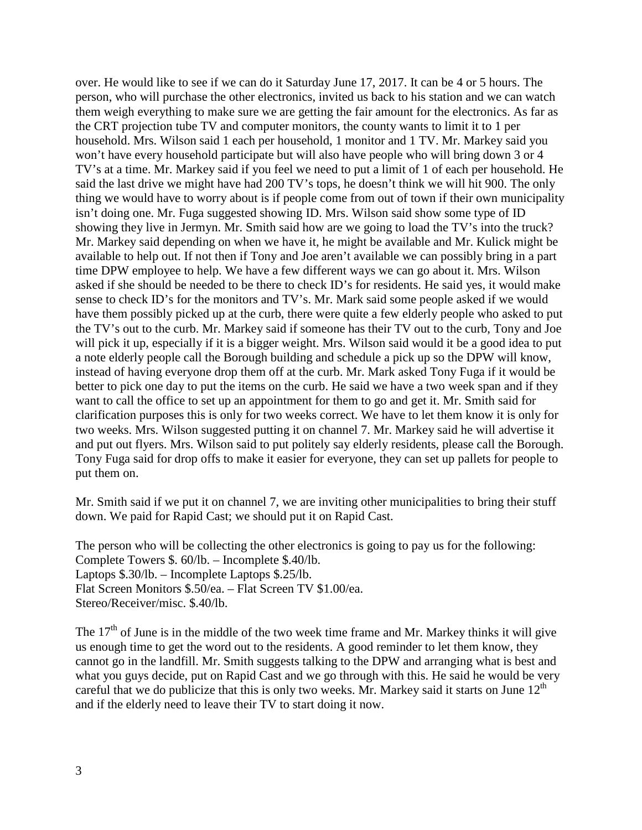over. He would like to see if we can do it Saturday June 17, 2017. It can be 4 or 5 hours. The person, who will purchase the other electronics, invited us back to his station and we can watch them weigh everything to make sure we are getting the fair amount for the electronics. As far as the CRT projection tube TV and computer monitors, the county wants to limit it to 1 per household. Mrs. Wilson said 1 each per household, 1 monitor and 1 TV. Mr. Markey said you won't have every household participate but will also have people who will bring down 3 or 4 TV's at a time. Mr. Markey said if you feel we need to put a limit of 1 of each per household. He said the last drive we might have had 200 TV's tops, he doesn't think we will hit 900. The only thing we would have to worry about is if people come from out of town if their own municipality isn't doing one. Mr. Fuga suggested showing ID. Mrs. Wilson said show some type of ID showing they live in Jermyn. Mr. Smith said how are we going to load the TV's into the truck? Mr. Markey said depending on when we have it, he might be available and Mr. Kulick might be available to help out. If not then if Tony and Joe aren't available we can possibly bring in a part time DPW employee to help. We have a few different ways we can go about it. Mrs. Wilson asked if she should be needed to be there to check ID's for residents. He said yes, it would make sense to check ID's for the monitors and TV's. Mr. Mark said some people asked if we would have them possibly picked up at the curb, there were quite a few elderly people who asked to put the TV's out to the curb. Mr. Markey said if someone has their TV out to the curb, Tony and Joe will pick it up, especially if it is a bigger weight. Mrs. Wilson said would it be a good idea to put a note elderly people call the Borough building and schedule a pick up so the DPW will know, instead of having everyone drop them off at the curb. Mr. Mark asked Tony Fuga if it would be better to pick one day to put the items on the curb. He said we have a two week span and if they want to call the office to set up an appointment for them to go and get it. Mr. Smith said for clarification purposes this is only for two weeks correct. We have to let them know it is only for two weeks. Mrs. Wilson suggested putting it on channel 7. Mr. Markey said he will advertise it and put out flyers. Mrs. Wilson said to put politely say elderly residents, please call the Borough. Tony Fuga said for drop offs to make it easier for everyone, they can set up pallets for people to put them on.

Mr. Smith said if we put it on channel 7, we are inviting other municipalities to bring their stuff down. We paid for Rapid Cast; we should put it on Rapid Cast.

The person who will be collecting the other electronics is going to pay us for the following: Complete Towers \$. 60/lb. – Incomplete \$.40/lb. Laptops \$.30/lb. – Incomplete Laptops \$.25/lb. Flat Screen Monitors \$.50/ea. – Flat Screen TV \$1.00/ea. Stereo/Receiver/misc. \$.40/lb.

The  $17<sup>th</sup>$  of June is in the middle of the two week time frame and Mr. Markey thinks it will give us enough time to get the word out to the residents. A good reminder to let them know, they cannot go in the landfill. Mr. Smith suggests talking to the DPW and arranging what is best and what you guys decide, put on Rapid Cast and we go through with this. He said he would be very careful that we do publicize that this is only two weeks. Mr. Markey said it starts on June  $12<sup>th</sup>$ and if the elderly need to leave their TV to start doing it now.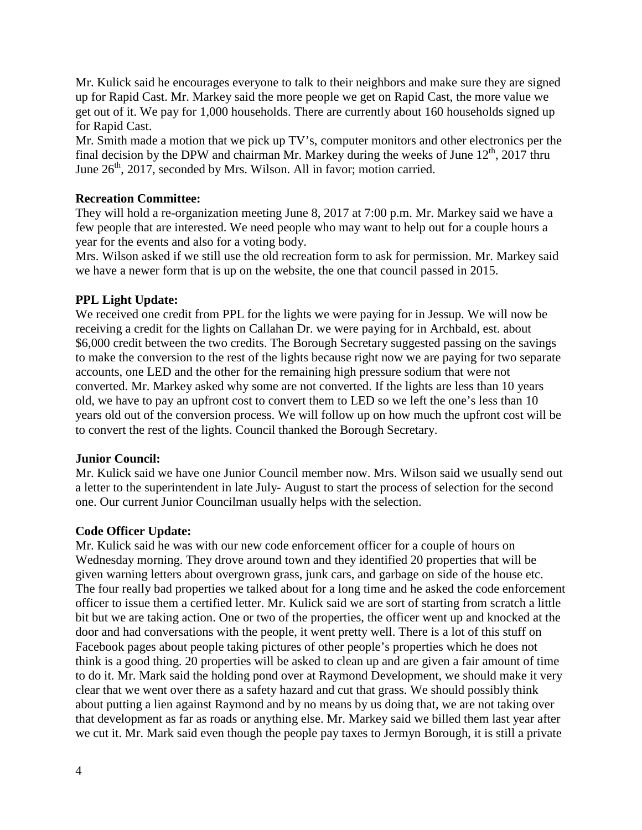Mr. Kulick said he encourages everyone to talk to their neighbors and make sure they are signed up for Rapid Cast. Mr. Markey said the more people we get on Rapid Cast, the more value we get out of it. We pay for 1,000 households. There are currently about 160 households signed up for Rapid Cast.

Mr. Smith made a motion that we pick up TV's, computer monitors and other electronics per the final decision by the DPW and chairman Mr. Markey during the weeks of June  $12<sup>th</sup>$ , 2017 thru June  $26<sup>th</sup>$ , 2017, seconded by Mrs. Wilson. All in favor; motion carried.

### **Recreation Committee:**

They will hold a re-organization meeting June 8, 2017 at 7:00 p.m. Mr. Markey said we have a few people that are interested. We need people who may want to help out for a couple hours a year for the events and also for a voting body.

Mrs. Wilson asked if we still use the old recreation form to ask for permission. Mr. Markey said we have a newer form that is up on the website, the one that council passed in 2015.

# **PPL Light Update:**

We received one credit from PPL for the lights we were paying for in Jessup. We will now be receiving a credit for the lights on Callahan Dr. we were paying for in Archbald, est. about \$6,000 credit between the two credits. The Borough Secretary suggested passing on the savings to make the conversion to the rest of the lights because right now we are paying for two separate accounts, one LED and the other for the remaining high pressure sodium that were not converted. Mr. Markey asked why some are not converted. If the lights are less than 10 years old, we have to pay an upfront cost to convert them to LED so we left the one's less than 10 years old out of the conversion process. We will follow up on how much the upfront cost will be to convert the rest of the lights. Council thanked the Borough Secretary.

### **Junior Council:**

Mr. Kulick said we have one Junior Council member now. Mrs. Wilson said we usually send out a letter to the superintendent in late July- August to start the process of selection for the second one. Our current Junior Councilman usually helps with the selection.

# **Code Officer Update:**

Mr. Kulick said he was with our new code enforcement officer for a couple of hours on Wednesday morning. They drove around town and they identified 20 properties that will be given warning letters about overgrown grass, junk cars, and garbage on side of the house etc. The four really bad properties we talked about for a long time and he asked the code enforcement officer to issue them a certified letter. Mr. Kulick said we are sort of starting from scratch a little bit but we are taking action. One or two of the properties, the officer went up and knocked at the door and had conversations with the people, it went pretty well. There is a lot of this stuff on Facebook pages about people taking pictures of other people's properties which he does not think is a good thing. 20 properties will be asked to clean up and are given a fair amount of time to do it. Mr. Mark said the holding pond over at Raymond Development, we should make it very clear that we went over there as a safety hazard and cut that grass. We should possibly think about putting a lien against Raymond and by no means by us doing that, we are not taking over that development as far as roads or anything else. Mr. Markey said we billed them last year after we cut it. Mr. Mark said even though the people pay taxes to Jermyn Borough, it is still a private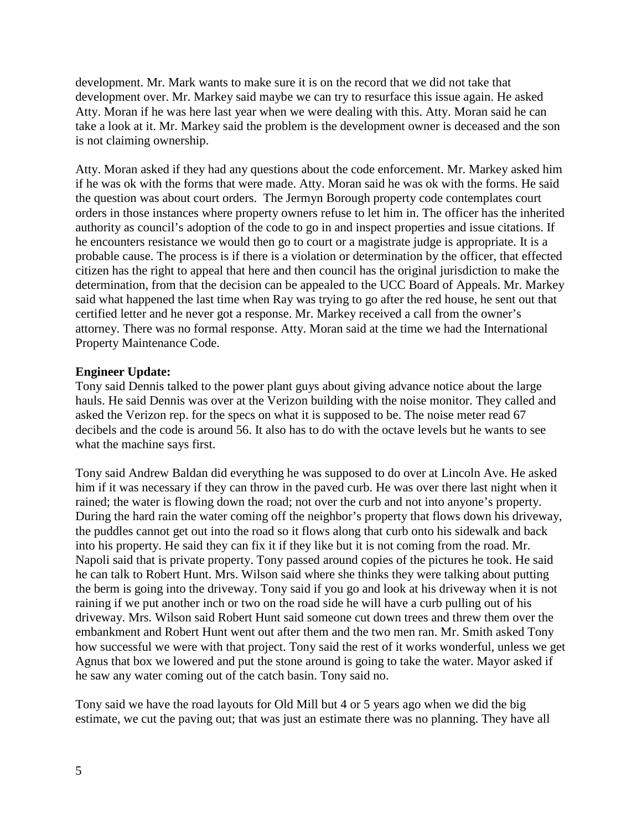development. Mr. Mark wants to make sure it is on the record that we did not take that development over. Mr. Markey said maybe we can try to resurface this issue again. He asked Atty. Moran if he was here last year when we were dealing with this. Atty. Moran said he can take a look at it. Mr. Markey said the problem is the development owner is deceased and the son is not claiming ownership.

Atty. Moran asked if they had any questions about the code enforcement. Mr. Markey asked him if he was ok with the forms that were made. Atty. Moran said he was ok with the forms. He said the question was about court orders. The Jermyn Borough property code contemplates court orders in those instances where property owners refuse to let him in. The officer has the inherited authority as council's adoption of the code to go in and inspect properties and issue citations. If he encounters resistance we would then go to court or a magistrate judge is appropriate. It is a probable cause. The process is if there is a violation or determination by the officer, that effected citizen has the right to appeal that here and then council has the original jurisdiction to make the determination, from that the decision can be appealed to the UCC Board of Appeals. Mr. Markey said what happened the last time when Ray was trying to go after the red house, he sent out that certified letter and he never got a response. Mr. Markey received a call from the owner's attorney. There was no formal response. Atty. Moran said at the time we had the International Property Maintenance Code.

### **Engineer Update:**

Tony said Dennis talked to the power plant guys about giving advance notice about the large hauls. He said Dennis was over at the Verizon building with the noise monitor. They called and asked the Verizon rep. for the specs on what it is supposed to be. The noise meter read 67 decibels and the code is around 56. It also has to do with the octave levels but he wants to see what the machine says first.

Tony said Andrew Baldan did everything he was supposed to do over at Lincoln Ave. He asked him if it was necessary if they can throw in the paved curb. He was over there last night when it rained; the water is flowing down the road; not over the curb and not into anyone's property. During the hard rain the water coming off the neighbor's property that flows down his driveway, the puddles cannot get out into the road so it flows along that curb onto his sidewalk and back into his property. He said they can fix it if they like but it is not coming from the road. Mr. Napoli said that is private property. Tony passed around copies of the pictures he took. He said he can talk to Robert Hunt. Mrs. Wilson said where she thinks they were talking about putting the berm is going into the driveway. Tony said if you go and look at his driveway when it is not raining if we put another inch or two on the road side he will have a curb pulling out of his driveway. Mrs. Wilson said Robert Hunt said someone cut down trees and threw them over the embankment and Robert Hunt went out after them and the two men ran. Mr. Smith asked Tony how successful we were with that project. Tony said the rest of it works wonderful, unless we get Agnus that box we lowered and put the stone around is going to take the water. Mayor asked if he saw any water coming out of the catch basin. Tony said no.

Tony said we have the road layouts for Old Mill but 4 or 5 years ago when we did the big estimate, we cut the paving out; that was just an estimate there was no planning. They have all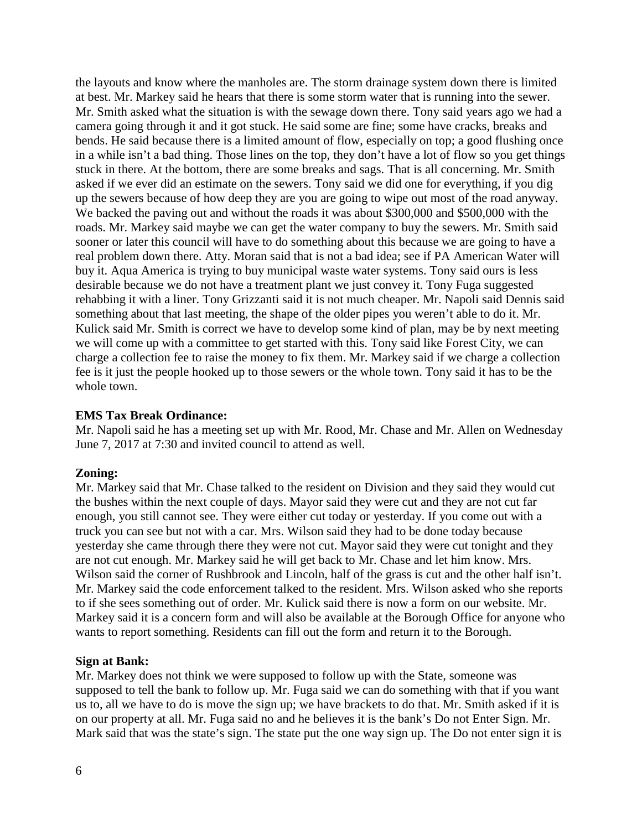the layouts and know where the manholes are. The storm drainage system down there is limited at best. Mr. Markey said he hears that there is some storm water that is running into the sewer. Mr. Smith asked what the situation is with the sewage down there. Tony said years ago we had a camera going through it and it got stuck. He said some are fine; some have cracks, breaks and bends. He said because there is a limited amount of flow, especially on top; a good flushing once in a while isn't a bad thing. Those lines on the top, they don't have a lot of flow so you get things stuck in there. At the bottom, there are some breaks and sags. That is all concerning. Mr. Smith asked if we ever did an estimate on the sewers. Tony said we did one for everything, if you dig up the sewers because of how deep they are you are going to wipe out most of the road anyway. We backed the paving out and without the roads it was about \$300,000 and \$500,000 with the roads. Mr. Markey said maybe we can get the water company to buy the sewers. Mr. Smith said sooner or later this council will have to do something about this because we are going to have a real problem down there. Atty. Moran said that is not a bad idea; see if PA American Water will buy it. Aqua America is trying to buy municipal waste water systems. Tony said ours is less desirable because we do not have a treatment plant we just convey it. Tony Fuga suggested rehabbing it with a liner. Tony Grizzanti said it is not much cheaper. Mr. Napoli said Dennis said something about that last meeting, the shape of the older pipes you weren't able to do it. Mr. Kulick said Mr. Smith is correct we have to develop some kind of plan, may be by next meeting we will come up with a committee to get started with this. Tony said like Forest City, we can charge a collection fee to raise the money to fix them. Mr. Markey said if we charge a collection fee is it just the people hooked up to those sewers or the whole town. Tony said it has to be the whole town.

#### **EMS Tax Break Ordinance:**

Mr. Napoli said he has a meeting set up with Mr. Rood, Mr. Chase and Mr. Allen on Wednesday June 7, 2017 at 7:30 and invited council to attend as well.

#### **Zoning:**

Mr. Markey said that Mr. Chase talked to the resident on Division and they said they would cut the bushes within the next couple of days. Mayor said they were cut and they are not cut far enough, you still cannot see. They were either cut today or yesterday. If you come out with a truck you can see but not with a car. Mrs. Wilson said they had to be done today because yesterday she came through there they were not cut. Mayor said they were cut tonight and they are not cut enough. Mr. Markey said he will get back to Mr. Chase and let him know. Mrs. Wilson said the corner of Rushbrook and Lincoln, half of the grass is cut and the other half isn't. Mr. Markey said the code enforcement talked to the resident. Mrs. Wilson asked who she reports to if she sees something out of order. Mr. Kulick said there is now a form on our website. Mr. Markey said it is a concern form and will also be available at the Borough Office for anyone who wants to report something. Residents can fill out the form and return it to the Borough.

#### **Sign at Bank:**

Mr. Markey does not think we were supposed to follow up with the State, someone was supposed to tell the bank to follow up. Mr. Fuga said we can do something with that if you want us to, all we have to do is move the sign up; we have brackets to do that. Mr. Smith asked if it is on our property at all. Mr. Fuga said no and he believes it is the bank's Do not Enter Sign. Mr. Mark said that was the state's sign. The state put the one way sign up. The Do not enter sign it is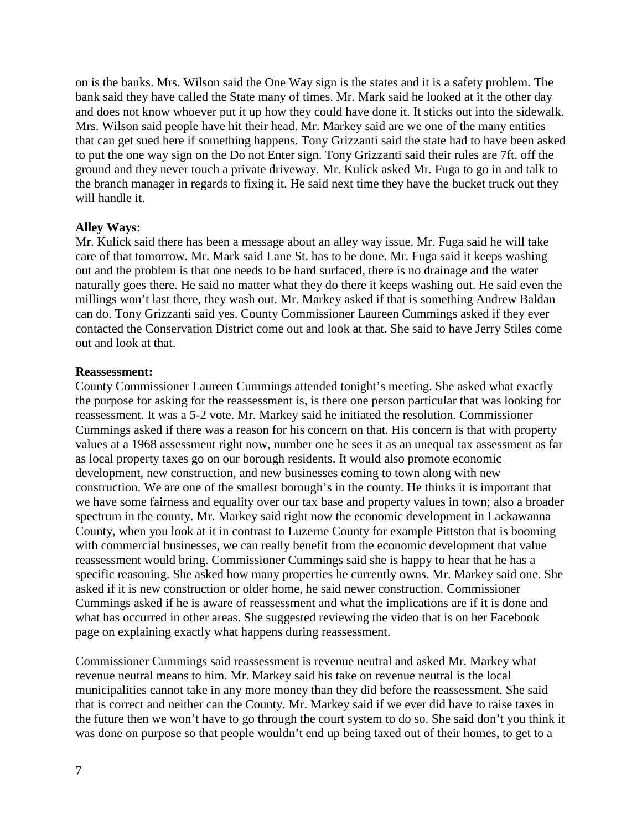on is the banks. Mrs. Wilson said the One Way sign is the states and it is a safety problem. The bank said they have called the State many of times. Mr. Mark said he looked at it the other day and does not know whoever put it up how they could have done it. It sticks out into the sidewalk. Mrs. Wilson said people have hit their head. Mr. Markey said are we one of the many entities that can get sued here if something happens. Tony Grizzanti said the state had to have been asked to put the one way sign on the Do not Enter sign. Tony Grizzanti said their rules are 7ft. off the ground and they never touch a private driveway. Mr. Kulick asked Mr. Fuga to go in and talk to the branch manager in regards to fixing it. He said next time they have the bucket truck out they will handle it.

### **Alley Ways:**

Mr. Kulick said there has been a message about an alley way issue. Mr. Fuga said he will take care of that tomorrow. Mr. Mark said Lane St. has to be done. Mr. Fuga said it keeps washing out and the problem is that one needs to be hard surfaced, there is no drainage and the water naturally goes there. He said no matter what they do there it keeps washing out. He said even the millings won't last there, they wash out. Mr. Markey asked if that is something Andrew Baldan can do. Tony Grizzanti said yes. County Commissioner Laureen Cummings asked if they ever contacted the Conservation District come out and look at that. She said to have Jerry Stiles come out and look at that.

#### **Reassessment:**

County Commissioner Laureen Cummings attended tonight's meeting. She asked what exactly the purpose for asking for the reassessment is, is there one person particular that was looking for reassessment. It was a 5-2 vote. Mr. Markey said he initiated the resolution. Commissioner Cummings asked if there was a reason for his concern on that. His concern is that with property values at a 1968 assessment right now, number one he sees it as an unequal tax assessment as far as local property taxes go on our borough residents. It would also promote economic development, new construction, and new businesses coming to town along with new construction. We are one of the smallest borough's in the county. He thinks it is important that we have some fairness and equality over our tax base and property values in town; also a broader spectrum in the county. Mr. Markey said right now the economic development in Lackawanna County, when you look at it in contrast to Luzerne County for example Pittston that is booming with commercial businesses, we can really benefit from the economic development that value reassessment would bring. Commissioner Cummings said she is happy to hear that he has a specific reasoning. She asked how many properties he currently owns. Mr. Markey said one. She asked if it is new construction or older home, he said newer construction. Commissioner Cummings asked if he is aware of reassessment and what the implications are if it is done and what has occurred in other areas. She suggested reviewing the video that is on her Facebook page on explaining exactly what happens during reassessment.

Commissioner Cummings said reassessment is revenue neutral and asked Mr. Markey what revenue neutral means to him. Mr. Markey said his take on revenue neutral is the local municipalities cannot take in any more money than they did before the reassessment. She said that is correct and neither can the County. Mr. Markey said if we ever did have to raise taxes in the future then we won't have to go through the court system to do so. She said don't you think it was done on purpose so that people wouldn't end up being taxed out of their homes, to get to a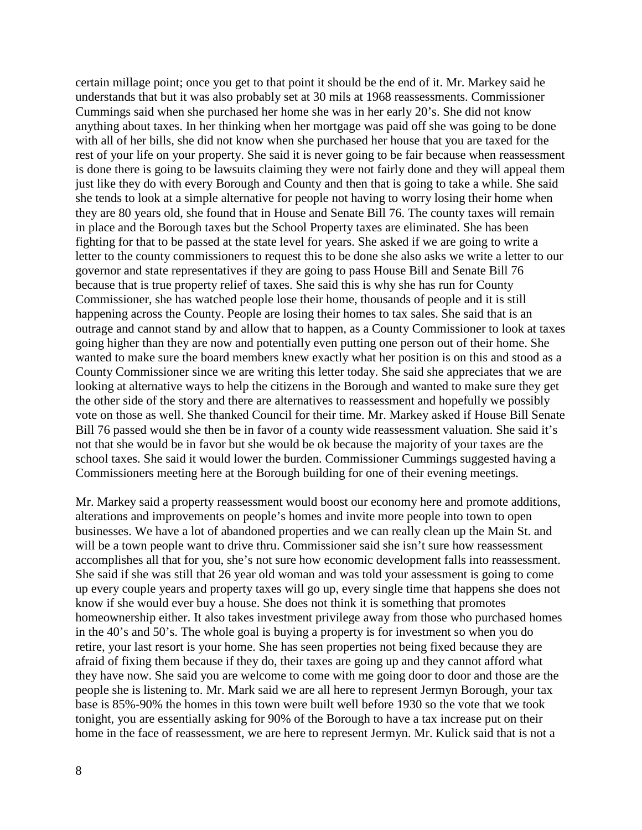certain millage point; once you get to that point it should be the end of it. Mr. Markey said he understands that but it was also probably set at 30 mils at 1968 reassessments. Commissioner Cummings said when she purchased her home she was in her early 20's. She did not know anything about taxes. In her thinking when her mortgage was paid off she was going to be done with all of her bills, she did not know when she purchased her house that you are taxed for the rest of your life on your property. She said it is never going to be fair because when reassessment is done there is going to be lawsuits claiming they were not fairly done and they will appeal them just like they do with every Borough and County and then that is going to take a while. She said she tends to look at a simple alternative for people not having to worry losing their home when they are 80 years old, she found that in House and Senate Bill 76. The county taxes will remain in place and the Borough taxes but the School Property taxes are eliminated. She has been fighting for that to be passed at the state level for years. She asked if we are going to write a letter to the county commissioners to request this to be done she also asks we write a letter to our governor and state representatives if they are going to pass House Bill and Senate Bill 76 because that is true property relief of taxes. She said this is why she has run for County Commissioner, she has watched people lose their home, thousands of people and it is still happening across the County. People are losing their homes to tax sales. She said that is an outrage and cannot stand by and allow that to happen, as a County Commissioner to look at taxes going higher than they are now and potentially even putting one person out of their home. She wanted to make sure the board members knew exactly what her position is on this and stood as a County Commissioner since we are writing this letter today. She said she appreciates that we are looking at alternative ways to help the citizens in the Borough and wanted to make sure they get the other side of the story and there are alternatives to reassessment and hopefully we possibly vote on those as well. She thanked Council for their time. Mr. Markey asked if House Bill Senate Bill 76 passed would she then be in favor of a county wide reassessment valuation. She said it's not that she would be in favor but she would be ok because the majority of your taxes are the school taxes. She said it would lower the burden. Commissioner Cummings suggested having a Commissioners meeting here at the Borough building for one of their evening meetings.

Mr. Markey said a property reassessment would boost our economy here and promote additions, alterations and improvements on people's homes and invite more people into town to open businesses. We have a lot of abandoned properties and we can really clean up the Main St. and will be a town people want to drive thru. Commissioner said she isn't sure how reassessment accomplishes all that for you, she's not sure how economic development falls into reassessment. She said if she was still that 26 year old woman and was told your assessment is going to come up every couple years and property taxes will go up, every single time that happens she does not know if she would ever buy a house. She does not think it is something that promotes homeownership either. It also takes investment privilege away from those who purchased homes in the 40's and 50's. The whole goal is buying a property is for investment so when you do retire, your last resort is your home. She has seen properties not being fixed because they are afraid of fixing them because if they do, their taxes are going up and they cannot afford what they have now. She said you are welcome to come with me going door to door and those are the people she is listening to. Mr. Mark said we are all here to represent Jermyn Borough, your tax base is 85%-90% the homes in this town were built well before 1930 so the vote that we took tonight, you are essentially asking for 90% of the Borough to have a tax increase put on their home in the face of reassessment, we are here to represent Jermyn. Mr. Kulick said that is not a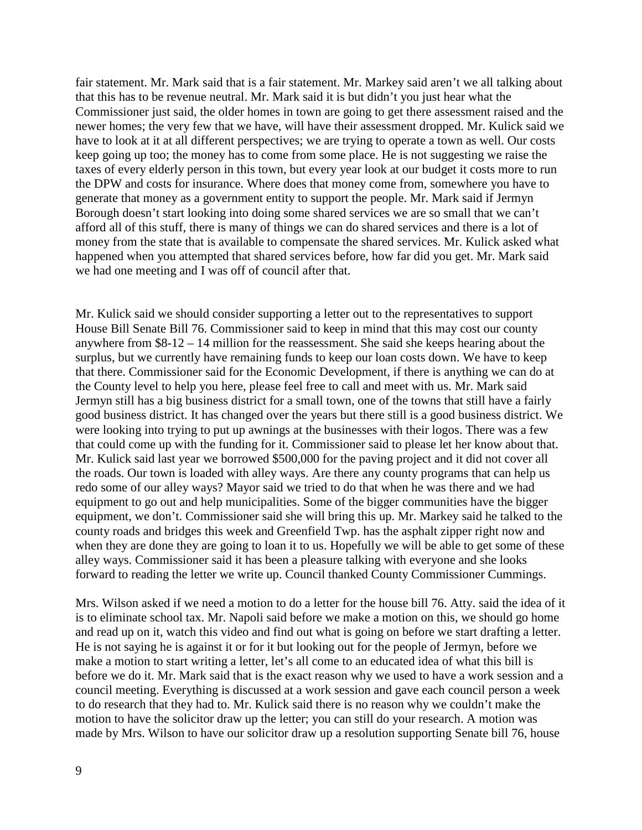fair statement. Mr. Mark said that is a fair statement. Mr. Markey said aren't we all talking about that this has to be revenue neutral. Mr. Mark said it is but didn't you just hear what the Commissioner just said, the older homes in town are going to get there assessment raised and the newer homes; the very few that we have, will have their assessment dropped. Mr. Kulick said we have to look at it at all different perspectives; we are trying to operate a town as well. Our costs keep going up too; the money has to come from some place. He is not suggesting we raise the taxes of every elderly person in this town, but every year look at our budget it costs more to run the DPW and costs for insurance. Where does that money come from, somewhere you have to generate that money as a government entity to support the people. Mr. Mark said if Jermyn Borough doesn't start looking into doing some shared services we are so small that we can't afford all of this stuff, there is many of things we can do shared services and there is a lot of money from the state that is available to compensate the shared services. Mr. Kulick asked what happened when you attempted that shared services before, how far did you get. Mr. Mark said we had one meeting and I was off of council after that.

Mr. Kulick said we should consider supporting a letter out to the representatives to support House Bill Senate Bill 76. Commissioner said to keep in mind that this may cost our county anywhere from \$8-12 – 14 million for the reassessment. She said she keeps hearing about the surplus, but we currently have remaining funds to keep our loan costs down. We have to keep that there. Commissioner said for the Economic Development, if there is anything we can do at the County level to help you here, please feel free to call and meet with us. Mr. Mark said Jermyn still has a big business district for a small town, one of the towns that still have a fairly good business district. It has changed over the years but there still is a good business district. We were looking into trying to put up awnings at the businesses with their logos. There was a few that could come up with the funding for it. Commissioner said to please let her know about that. Mr. Kulick said last year we borrowed \$500,000 for the paving project and it did not cover all the roads. Our town is loaded with alley ways. Are there any county programs that can help us redo some of our alley ways? Mayor said we tried to do that when he was there and we had equipment to go out and help municipalities. Some of the bigger communities have the bigger equipment, we don't. Commissioner said she will bring this up. Mr. Markey said he talked to the county roads and bridges this week and Greenfield Twp. has the asphalt zipper right now and when they are done they are going to loan it to us. Hopefully we will be able to get some of these alley ways. Commissioner said it has been a pleasure talking with everyone and she looks forward to reading the letter we write up. Council thanked County Commissioner Cummings.

Mrs. Wilson asked if we need a motion to do a letter for the house bill 76. Atty. said the idea of it is to eliminate school tax. Mr. Napoli said before we make a motion on this, we should go home and read up on it, watch this video and find out what is going on before we start drafting a letter. He is not saying he is against it or for it but looking out for the people of Jermyn, before we make a motion to start writing a letter, let's all come to an educated idea of what this bill is before we do it. Mr. Mark said that is the exact reason why we used to have a work session and a council meeting. Everything is discussed at a work session and gave each council person a week to do research that they had to. Mr. Kulick said there is no reason why we couldn't make the motion to have the solicitor draw up the letter; you can still do your research. A motion was made by Mrs. Wilson to have our solicitor draw up a resolution supporting Senate bill 76, house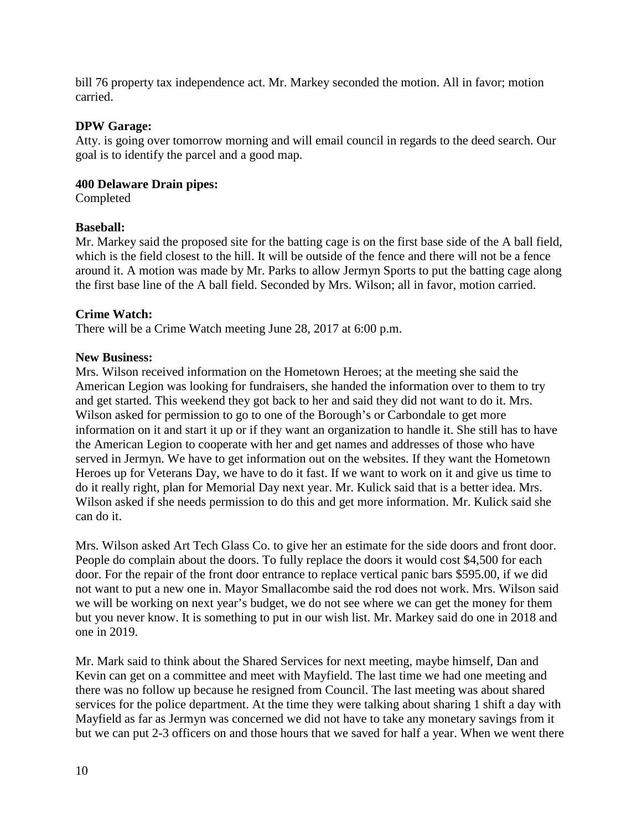bill 76 property tax independence act. Mr. Markey seconded the motion. All in favor; motion carried.

## **DPW Garage:**

Atty. is going over tomorrow morning and will email council in regards to the deed search. Our goal is to identify the parcel and a good map.

## **400 Delaware Drain pipes:**

Completed

## **Baseball:**

Mr. Markey said the proposed site for the batting cage is on the first base side of the A ball field, which is the field closest to the hill. It will be outside of the fence and there will not be a fence around it. A motion was made by Mr. Parks to allow Jermyn Sports to put the batting cage along the first base line of the A ball field. Seconded by Mrs. Wilson; all in favor, motion carried.

### **Crime Watch:**

There will be a Crime Watch meeting June 28, 2017 at 6:00 p.m.

### **New Business:**

Mrs. Wilson received information on the Hometown Heroes; at the meeting she said the American Legion was looking for fundraisers, she handed the information over to them to try and get started. This weekend they got back to her and said they did not want to do it. Mrs. Wilson asked for permission to go to one of the Borough's or Carbondale to get more information on it and start it up or if they want an organization to handle it. She still has to have the American Legion to cooperate with her and get names and addresses of those who have served in Jermyn. We have to get information out on the websites. If they want the Hometown Heroes up for Veterans Day, we have to do it fast. If we want to work on it and give us time to do it really right, plan for Memorial Day next year. Mr. Kulick said that is a better idea. Mrs. Wilson asked if she needs permission to do this and get more information. Mr. Kulick said she can do it.

Mrs. Wilson asked Art Tech Glass Co. to give her an estimate for the side doors and front door. People do complain about the doors. To fully replace the doors it would cost \$4,500 for each door. For the repair of the front door entrance to replace vertical panic bars \$595.00, if we did not want to put a new one in. Mayor Smallacombe said the rod does not work. Mrs. Wilson said we will be working on next year's budget, we do not see where we can get the money for them but you never know. It is something to put in our wish list. Mr. Markey said do one in 2018 and one in 2019.

Mr. Mark said to think about the Shared Services for next meeting, maybe himself, Dan and Kevin can get on a committee and meet with Mayfield. The last time we had one meeting and there was no follow up because he resigned from Council. The last meeting was about shared services for the police department. At the time they were talking about sharing 1 shift a day with Mayfield as far as Jermyn was concerned we did not have to take any monetary savings from it but we can put 2-3 officers on and those hours that we saved for half a year. When we went there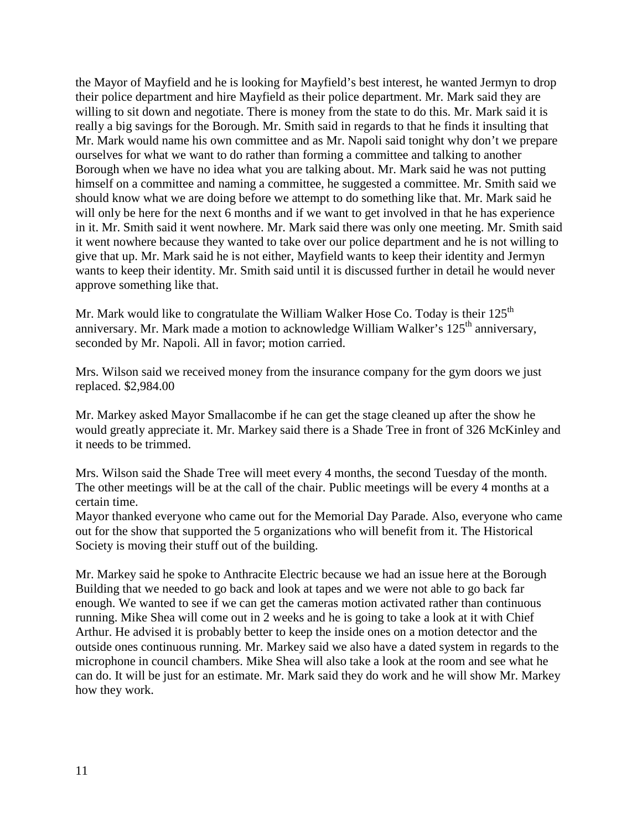the Mayor of Mayfield and he is looking for Mayfield's best interest, he wanted Jermyn to drop their police department and hire Mayfield as their police department. Mr. Mark said they are willing to sit down and negotiate. There is money from the state to do this. Mr. Mark said it is really a big savings for the Borough. Mr. Smith said in regards to that he finds it insulting that Mr. Mark would name his own committee and as Mr. Napoli said tonight why don't we prepare ourselves for what we want to do rather than forming a committee and talking to another Borough when we have no idea what you are talking about. Mr. Mark said he was not putting himself on a committee and naming a committee, he suggested a committee. Mr. Smith said we should know what we are doing before we attempt to do something like that. Mr. Mark said he will only be here for the next 6 months and if we want to get involved in that he has experience in it. Mr. Smith said it went nowhere. Mr. Mark said there was only one meeting. Mr. Smith said it went nowhere because they wanted to take over our police department and he is not willing to give that up. Mr. Mark said he is not either, Mayfield wants to keep their identity and Jermyn wants to keep their identity. Mr. Smith said until it is discussed further in detail he would never approve something like that.

Mr. Mark would like to congratulate the William Walker Hose Co. Today is their 125<sup>th</sup> anniversary. Mr. Mark made a motion to acknowledge William Walker's 125<sup>th</sup> anniversary, seconded by Mr. Napoli. All in favor; motion carried.

Mrs. Wilson said we received money from the insurance company for the gym doors we just replaced. \$2,984.00

Mr. Markey asked Mayor Smallacombe if he can get the stage cleaned up after the show he would greatly appreciate it. Mr. Markey said there is a Shade Tree in front of 326 McKinley and it needs to be trimmed.

Mrs. Wilson said the Shade Tree will meet every 4 months, the second Tuesday of the month. The other meetings will be at the call of the chair. Public meetings will be every 4 months at a certain time.

Mayor thanked everyone who came out for the Memorial Day Parade. Also, everyone who came out for the show that supported the 5 organizations who will benefit from it. The Historical Society is moving their stuff out of the building.

Mr. Markey said he spoke to Anthracite Electric because we had an issue here at the Borough Building that we needed to go back and look at tapes and we were not able to go back far enough. We wanted to see if we can get the cameras motion activated rather than continuous running. Mike Shea will come out in 2 weeks and he is going to take a look at it with Chief Arthur. He advised it is probably better to keep the inside ones on a motion detector and the outside ones continuous running. Mr. Markey said we also have a dated system in regards to the microphone in council chambers. Mike Shea will also take a look at the room and see what he can do. It will be just for an estimate. Mr. Mark said they do work and he will show Mr. Markey how they work.